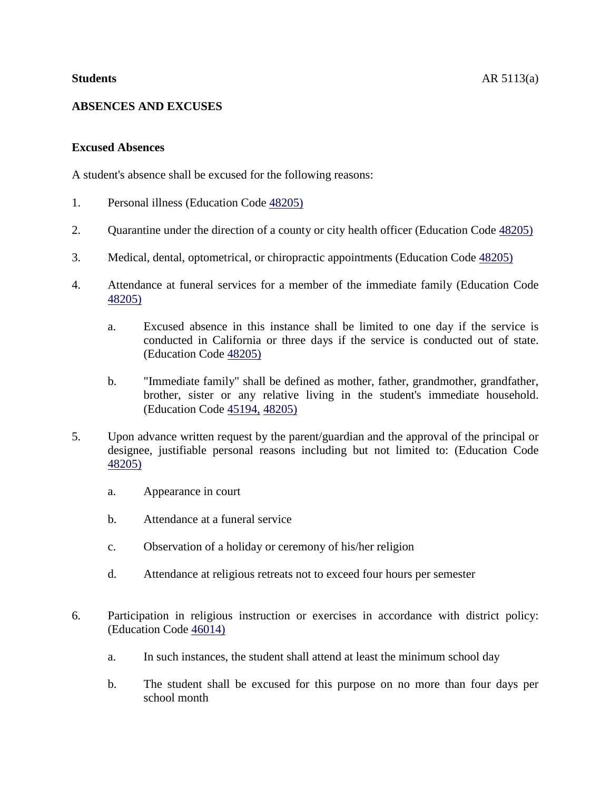# **ABSENCES AND EXCUSES**

# **Excused Absences**

A student's absence shall be excused for the following reasons:

- 1. Personal illness (Education Code [48205\)](http://www.gamutonline.net/4daction/web_loaddisplaypolicy/138126/5)
- 2. Quarantine under the direction of a county or city health officer (Education Code [48205\)](http://www.gamutonline.net/4daction/web_loaddisplaypolicy/138126/5)
- 3. Medical, dental, optometrical, or chiropractic appointments (Education Code [48205\)](http://www.gamutonline.net/4daction/web_loaddisplaypolicy/138126/5)
- 4. Attendance at funeral services for a member of the immediate family (Education Code [48205\)](http://www.gamutonline.net/4daction/web_loaddisplaypolicy/138126/5)
	- a. Excused absence in this instance shall be limited to one day if the service is conducted in California or three days if the service is conducted out of state. (Education Code [48205\)](http://www.gamutonline.net/4daction/web_loaddisplaypolicy/138126/5)
	- b. "Immediate family" shall be defined as mother, father, grandmother, grandfather, brother, sister or any relative living in the student's immediate household. (Education Code [45194,](http://www.gamutonline.net/4daction/web_loaddisplaypolicy/131815/5) [48205\)](http://www.gamutonline.net/4daction/web_loaddisplaypolicy/138126/5)
- 5. Upon advance written request by the parent/guardian and the approval of the principal or designee, justifiable personal reasons including but not limited to: (Education Code [48205\)](http://www.gamutonline.net/4daction/web_loaddisplaypolicy/138126/5)
	- a. Appearance in court
	- b. Attendance at a funeral service
	- c. Observation of a holiday or ceremony of his/her religion
	- d. Attendance at religious retreats not to exceed four hours per semester
- 6. Participation in religious instruction or exercises in accordance with district policy: (Education Code [46014\)](http://www.gamutonline.net/4daction/web_loaddisplaypolicy/131974/5)
	- a. In such instances, the student shall attend at least the minimum school day
	- b. The student shall be excused for this purpose on no more than four days per school month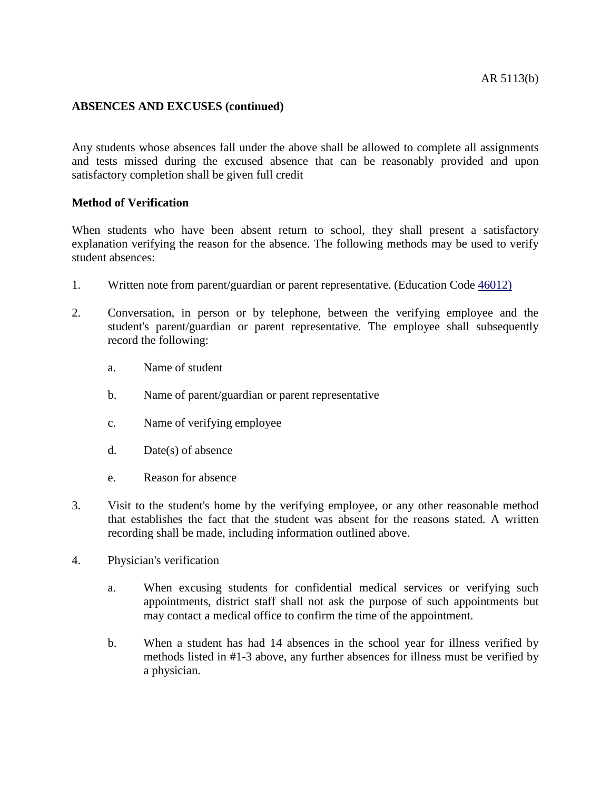### **ABSENCES AND EXCUSES (continued)**

Any students whose absences fall under the above shall be allowed to complete all assignments and tests missed during the excused absence that can be reasonably provided and upon satisfactory completion shall be given full credit

### **Method of Verification**

When students who have been absent return to school, they shall present a satisfactory explanation verifying the reason for the absence. The following methods may be used to verify student absences:

- 1. Written note from parent/guardian or parent representative. (Education Code [46012\)](http://www.gamutonline.net/4daction/web_loaddisplaypolicy/131971/5)
- 2. Conversation, in person or by telephone, between the verifying employee and the student's parent/guardian or parent representative. The employee shall subsequently record the following:
	- a. Name of student
	- b. Name of parent/guardian or parent representative
	- c. Name of verifying employee
	- d. Date(s) of absence
	- e. Reason for absence
- 3. Visit to the student's home by the verifying employee, or any other reasonable method that establishes the fact that the student was absent for the reasons stated. A written recording shall be made, including information outlined above.
- 4. Physician's verification
	- a. When excusing students for confidential medical services or verifying such appointments, district staff shall not ask the purpose of such appointments but may contact a medical office to confirm the time of the appointment.
	- b. When a student has had 14 absences in the school year for illness verified by methods listed in #1-3 above, any further absences for illness must be verified by a physician.